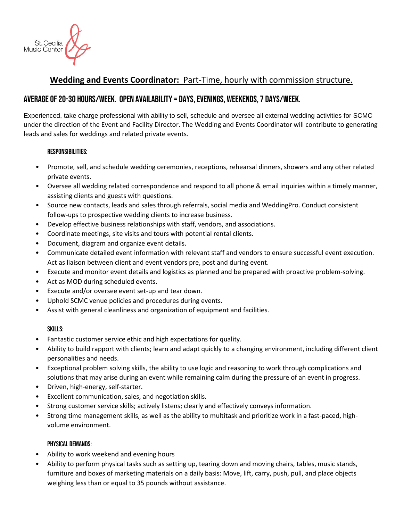

# **Wedding and Events Coordinator:** Part-Time, hourly with commission structure.

## Average of 20-30 hours/week. Open availability = days, evenings, weekends, 7 days/week.

Experienced, take charge professional with ability to sell, schedule and oversee all external wedding activities for SCMC under the direction of the Event and Facility Director. The Wedding and Events Coordinator will contribute to generating leads and sales for weddings and related private events.

### Responsibilities:

- Promote, sell, and schedule wedding ceremonies, receptions, rehearsal dinners, showers and any other related private events.
- Oversee all wedding related correspondence and respond to all phone & email inquiries within a timely manner, assisting clients and guests with questions.
- Source new contacts, leads and sales through referrals, social media and WeddingPro. Conduct consistent follow-ups to prospective wedding clients to increase business.
- Develop effective business relationships with staff, vendors, and associations.
- Coordinate meetings, site visits and tours with potential rental clients.
- Document, diagram and organize event details.
- Communicate detailed event information with relevant staff and vendors to ensure successful event execution. Act as liaison between client and event vendors pre, post and during event.
- Execute and monitor event details and logistics as planned and be prepared with proactive problem-solving.
- Act as MOD during scheduled events.
- Execute and/or oversee event set-up and tear down.
- Uphold SCMC venue policies and procedures during events.
- Assist with general cleanliness and organization of equipment and facilities.

#### Skills:

- Fantastic customer service ethic and high expectations for quality.
- Ability to build rapport with clients; learn and adapt quickly to a changing environment, including different client personalities and needs.
- Exceptional problem solving skills, the ability to use logic and reasoning to work through complications and solutions that may arise during an event while remaining calm during the pressure of an event in progress.
- Driven, high-energy, self-starter.
- Excellent communication, sales, and negotiation skills.
- Strong customer service skills; actively listens; clearly and effectively conveys information.
- Strong time management skills, as well as the ability to multitask and prioritize work in a fast-paced, highvolume environment.

#### Physical Demands:

- Ability to work weekend and evening hours
- Ability to perform physical tasks such as setting up, tearing down and moving chairs, tables, music stands, furniture and boxes of marketing materials on a daily basis: Move, lift, carry, push, pull, and place objects weighing less than or equal to 35 pounds without assistance.